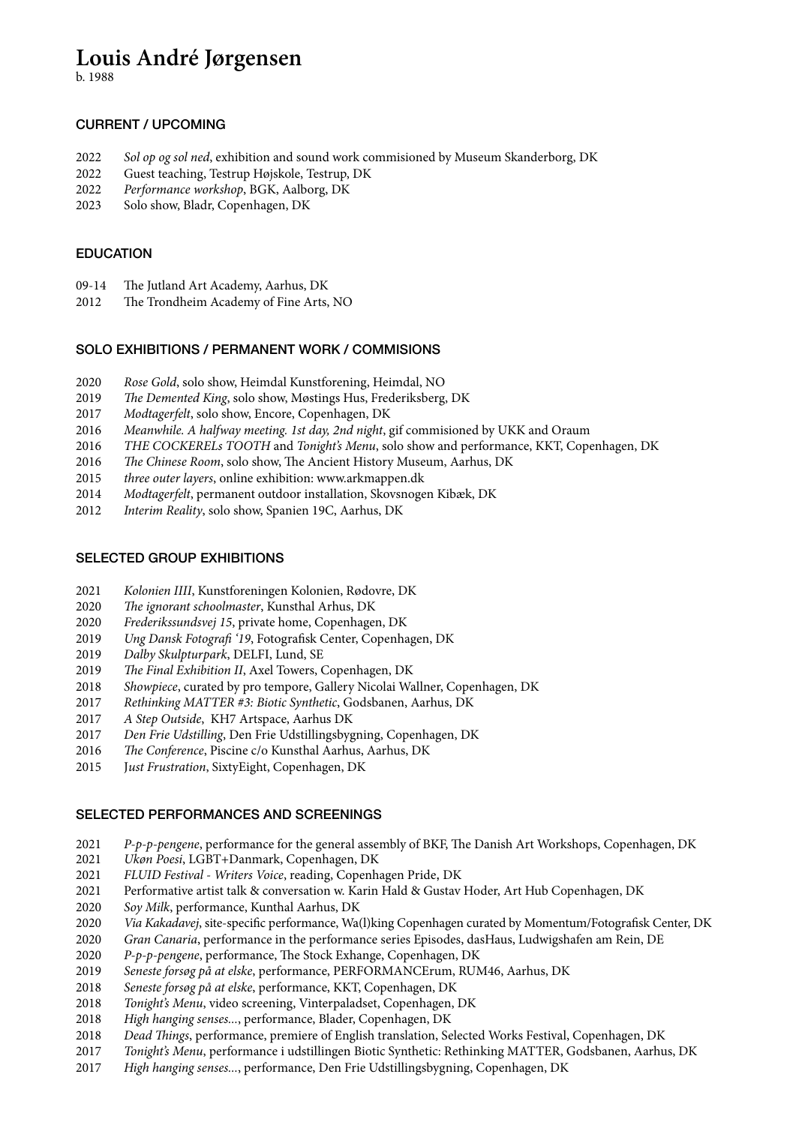# **Louis André Jørgensen**

b. 1988

## CURRENT / UPCOMING

- *Sol op og sol ned*, exhibition and sound work commisioned by Museum Skanderborg, DK
- Guest teaching, Testrup Højskole, Testrup, DK
- *Performance workshop*, BGK, Aalborg, DK
- Solo show, Bladr, Copenhagen, DK

## EDUCATION

- 09-14 The Jutland Art Academy, Aarhus, DK
- 2012 The Trondheim Academy of Fine Arts, NO

## SOLO EXHIBITIONS / PERMANENT WORK / COMMISIONS

- *Rose Gold*, solo show, Heimdal Kunstforening, Heimdal, NO
- *The Demented King*, solo show, Møstings Hus, Frederiksberg, DK
- *Modtagerfelt*, solo show, Encore, Copenhagen, DK
- *Meanwhile. A halfway meeting. 1st day, 2nd night*, gif commisioned by UKK and Oraum
- *THE COCKERELs TOOTH* and *Tonight's Menu*, solo show and performance, KKT, Copenhagen, DK
- *The Chinese Room*, solo show, The Ancient History Museum, Aarhus, DK
- *three outer layers*, online exhibition: www.arkmappen.dk
- *Modtagerfelt*, permanent outdoor installation, Skovsnogen Kibæk, DK
- *Interim Reality*, solo show, Spanien 19C, Aarhus, DK

## SELECTED GROUP EXHIBITIONS

- *Kolonien IIII*, Kunstforeningen Kolonien, Rødovre, DK
- *The ignorant schoolmaster*, Kunsthal Arhus, DK
- *Frederikssundsvej 15*, private home, Copenhagen, DK
- *Ung Dansk Fotografi '19*, Fotografisk Center, Copenhagen, DK
- *Dalby Skulpturpark*, DELFI, Lund, SE
- *The Final Exhibition II*, Axel Towers, Copenhagen, DK
- *Showpiece*, curated by pro tempore, Gallery Nicolai Wallner, Copenhagen, DK
- *Rethinking MATTER #3: Biotic Synthetic*, Godsbanen, Aarhus, DK
- *A Step Outside*, KH7 Artspace, Aarhus DK
- *Den Frie Udstilling*, Den Frie Udstillingsbygning, Copenhagen, DK
- *The Conference*, Piscine c/o Kunsthal Aarhus, Aarhus, DK
- 2015 J*ust Frustration*, SixtyEight, Copenhagen, DK

## SELECTED PERFORMANCES AND SCREENINGS

- *P-p-p-pengene*, performance for the general assembly of BKF, The Danish Art Workshops, Copenhagen, DK
- *Ukøn Poesi*, LGBT+Danmark, Copenhagen, DK
- *FLUID Festival Writers Voice*, reading, Copenhagen Pride, DK
- Performative artist talk & conversation w. Karin Hald & Gustav Hoder, Art Hub Copenhagen, DK
- *Soy Milk*, performance, Kunthal Aarhus, DK
- *Via Kakadavej*, site-specific performance, Wa(l)king Copenhagen curated by Momentum/Fotografisk Center, DK
- *Gran Canaria*, performance in the performance series Episodes, dasHaus, Ludwigshafen am Rein, DE
- *P-p-p-pengene*, performance, The Stock Exhange, Copenhagen, DK
- *Seneste forsøg på at elske*, performance, PERFORMANCErum, RUM46, Aarhus, DK
- *Seneste forsøg på at elske*, performance, KKT, Copenhagen, DK
- *Tonight's Menu*, video screening, Vinterpaladset, Copenhagen, DK
- *High hanging senses...*, performance, Blader, Copenhagen, DK
- *Dead Things*, performance, premiere of English translation, Selected Works Festival, Copenhagen, DK
- *Tonight's Menu*, performance i udstillingen Biotic Synthetic: Rethinking MATTER, Godsbanen, Aarhus, DK
- *High hanging senses...*, performance, Den Frie Udstillingsbygning, Copenhagen, DK